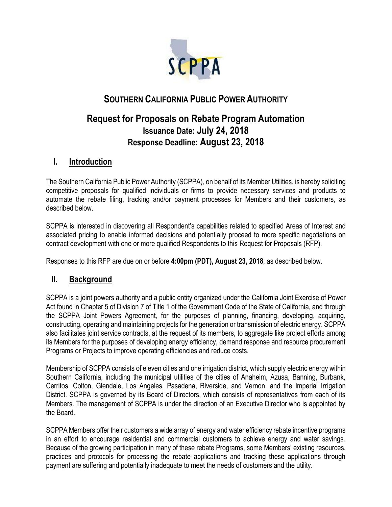

# **SOUTHERN CALIFORNIA PUBLIC POWER AUTHORITY**

# **Request for Proposals on Rebate Program Automation Issuance Date: July 24, 2018 Response Deadline: August 23, 2018**

### **I. Introduction**

The Southern California Public Power Authority (SCPPA), on behalf of its Member Utilities, is hereby soliciting competitive proposals for qualified individuals or firms to provide necessary services and products to automate the rebate filing, tracking and/or payment processes for Members and their customers, as described below.

SCPPA is interested in discovering all Respondent's capabilities related to specified Areas of Interest and associated pricing to enable informed decisions and potentially proceed to more specific negotiations on contract development with one or more qualified Respondents to this Request for Proposals (RFP).

Responses to this RFP are due on or before **4:00pm (PDT), August 23, 2018**, as described below.

### **II. Background**

SCPPA is a joint powers authority and a public entity organized under the California Joint Exercise of Power Act found in Chapter 5 of Division 7 of Title 1 of the Government Code of the State of California, and through the SCPPA Joint Powers Agreement, for the purposes of planning, financing, developing, acquiring, constructing, operating and maintaining projects for the generation or transmission of electric energy. SCPPA also facilitates joint service contracts, at the request of its members, to aggregate like project efforts among its Members for the purposes of developing energy efficiency, demand response and resource procurement Programs or Projects to improve operating efficiencies and reduce costs.

Membership of SCPPA consists of eleven cities and one irrigation district, which supply electric energy within Southern California, including the municipal utilities of the cities of Anaheim, Azusa, Banning, Burbank, Cerritos, Colton, Glendale, Los Angeles, Pasadena, Riverside, and Vernon, and the Imperial Irrigation District. SCPPA is governed by its Board of Directors, which consists of representatives from each of its Members. The management of SCPPA is under the direction of an Executive Director who is appointed by the Board.

SCPPA Members offer their customers a wide array of energy and water efficiency rebate incentive programs in an effort to encourage residential and commercial customers to achieve energy and water savings. Because of the growing participation in many of these rebate Programs, some Members' existing resources, practices and protocols for processing the rebate applications and tracking these applications through payment are suffering and potentially inadequate to meet the needs of customers and the utility.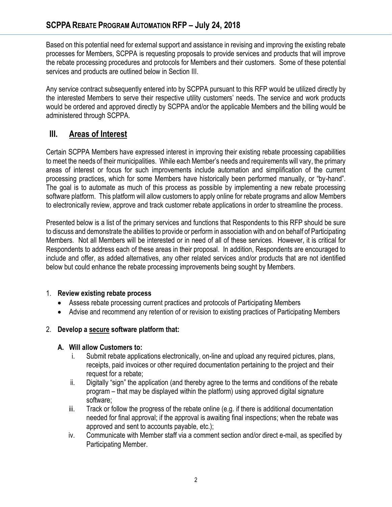Based on this potential need for external support and assistance in revising and improving the existing rebate processes for Members, SCPPA is requesting proposals to provide services and products that will improve the rebate processing procedures and protocols for Members and their customers. Some of these potential services and products are outlined below in Section III.

Any service contract subsequently entered into by SCPPA pursuant to this RFP would be utilized directly by the interested Members to serve their respective utility customers' needs. The service and work products would be ordered and approved directly by SCPPA and/or the applicable Members and the billing would be administered through SCPPA.

# **III. Areas of Interest**

Certain SCPPA Members have expressed interest in improving their existing rebate processing capabilities to meet the needs of their municipalities. While each Member's needs and requirements will vary, the primary areas of interest or focus for such improvements include automation and simplification of the current processing practices, which for some Members have historically been performed manually, or "by-hand". The goal is to automate as much of this process as possible by implementing a new rebate processing software platform. This platform will allow customers to apply online for rebate programs and allow Members to electronically review, approve and track customer rebate applications in order to streamline the process.

Presented below is a list of the primary services and functions that Respondents to this RFP should be sure to discuss and demonstrate the abilities to provide or perform in association with and on behalf of Participating Members. Not all Members will be interested or in need of all of these services. However, it is critical for Respondents to address each of these areas in their proposal. In addition, Respondents are encouraged to include and offer, as added alternatives, any other related services and/or products that are not identified below but could enhance the rebate processing improvements being sought by Members.

#### 1. **Review existing rebate process**

- Assess rebate processing current practices and protocols of Participating Members
- Advise and recommend any retention of or revision to existing practices of Participating Members

### 2. **Develop a secure software platform that:**

#### **A. Will allow Customers to:**

- i. Submit rebate applications electronically, on-line and upload any required pictures, plans, receipts, paid invoices or other required documentation pertaining to the project and their request for a rebate;
- ii. Digitally "sign" the application (and thereby agree to the terms and conditions of the rebate program – that may be displayed within the platform) using approved digital signature software;
- iii. Track or follow the progress of the rebate online (e.g. if there is additional documentation needed for final approval; if the approval is awaiting final inspections; when the rebate was approved and sent to accounts payable, etc.);
- iv. Communicate with Member staff via a comment section and/or direct e-mail, as specified by Participating Member.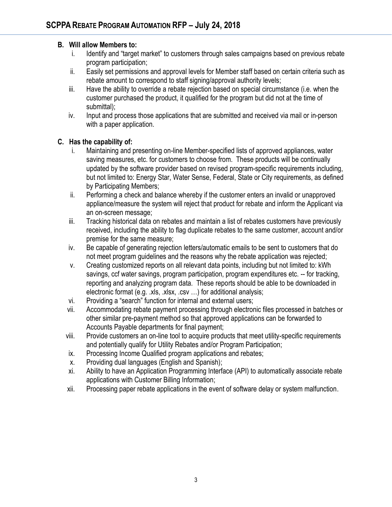#### **B. Will allow Members to:**

- i. Identify and "target market" to customers through sales campaigns based on previous rebate program participation;
- ii. Easily set permissions and approval levels for Member staff based on certain criteria such as rebate amount to correspond to staff signing/approval authority levels;
- iii. Have the ability to override a rebate rejection based on special circumstance (i.e. when the customer purchased the product, it qualified for the program but did not at the time of submittal);
- iv. Input and process those applications that are submitted and received via mail or in-person with a paper application.

#### **C. Has the capability of:**

- i. Maintaining and presenting on-line Member-specified lists of approved appliances, water saving measures, etc. for customers to choose from. These products will be continually updated by the software provider based on revised program-specific requirements including, but not limited to: Energy Star, Water Sense, Federal, State or City requirements, as defined by Participating Members;
- ii. Performing a check and balance whereby if the customer enters an invalid or unapproved appliance/measure the system will reject that product for rebate and inform the Applicant via an on-screen message;
- iii. Tracking historical data on rebates and maintain a list of rebates customers have previously received, including the ability to flag duplicate rebates to the same customer, account and/or premise for the same measure;
- iv. Be capable of generating rejection letters/automatic emails to be sent to customers that do not meet program guidelines and the reasons why the rebate application was rejected;
- v. Creating customized reports on all relevant data points, including but not limited to: kWh savings, ccf water savings, program participation, program expenditures etc. -- for tracking, reporting and analyzing program data. These reports should be able to be downloaded in electronic format (e.g. .xls, .xlsx, .csv …) for additional analysis;
- vi. Providing a "search" function for internal and external users;
- vii. Accommodating rebate payment processing through electronic files processed in batches or other similar pre-payment method so that approved applications can be forwarded to Accounts Payable departments for final payment;
- viii. Provide customers an on-line tool to acquire products that meet utility-specific requirements and potentially qualify for Utility Rebates and/or Program Participation;
- ix. Processing Income Qualified program applications and rebates;
- x. Providing dual languages (English and Spanish);
- xi. Ability to have an Application Programming Interface (API) to automatically associate rebate applications with Customer Billing Information;
- xii. Processing paper rebate applications in the event of software delay or system malfunction.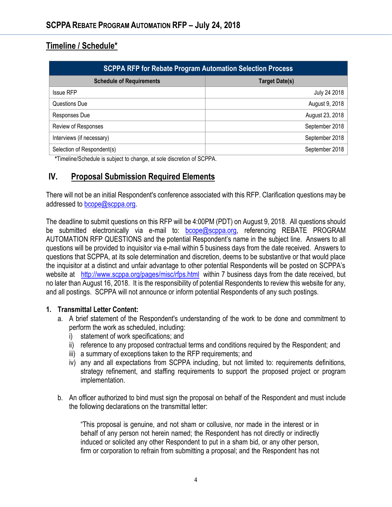# **Timeline / Schedule\***

| <b>SCPPA RFP for Rebate Program Automation Selection Process</b> |                       |
|------------------------------------------------------------------|-----------------------|
| <b>Schedule of Requirements</b>                                  | <b>Target Date(s)</b> |
| <b>Issue RFP</b>                                                 | July 24 2018          |
| Questions Due                                                    | August 9, 2018        |
| Responses Due                                                    | August 23, 2018       |
| Review of Responses                                              | September 2018        |
| Interviews (if necessary)                                        | September 2018        |
| Selection of Respondent(s)                                       | September 2018        |

 **\***Timeline/Schedule is subject to change, at sole discretion of SCPPA.

## **IV. Proposal Submission Required Elements**

There will not be an initial Respondent's conference associated with this RFP. Clarification questions may be addressed to **bcope@scppa.org**.

The deadline to submit questions on this RFP will be 4:00PM (PDT) on August 9, 2018. All questions should be submitted electronically via e-mail to: **bcope@scppa.org**, referencing REBATE PROGRAM AUTOMATION RFP QUESTIONS and the potential Respondent's name in the subject line. Answers to all questions will be provided to inquisitor via e-mail within 5 business days from the date received. Answers to questions that SCPPA, at its sole determination and discretion, deems to be substantive or that would place the inquisitor at a distinct and unfair advantage to other potential Respondents will be posted on SCPPA's website at <http://www.scppa.org/pages/misc/rfps.html>within 7 business days from the date received, but no later than August 16, 2018. It is the responsibility of potential Respondents to review this website for any, and all postings. SCPPA will not announce or inform potential Respondents of any such postings.

#### **1. Transmittal Letter Content:**

- a. A brief statement of the Respondent's understanding of the work to be done and commitment to perform the work as scheduled, including:
	- i) statement of work specifications; and
	- ii) reference to any proposed contractual terms and conditions required by the Respondent; and
	- iii) a summary of exceptions taken to the RFP requirements; and
	- iv) any and all expectations from SCPPA including, but not limited to: requirements definitions, strategy refinement, and staffing requirements to support the proposed project or program implementation.
- b. An officer authorized to bind must sign the proposal on behalf of the Respondent and must include the following declarations on the transmittal letter:

"This proposal is genuine, and not sham or collusive, nor made in the interest or in behalf of any person not herein named; the Respondent has not directly or indirectly induced or solicited any other Respondent to put in a sham bid, or any other person, firm or corporation to refrain from submitting a proposal; and the Respondent has not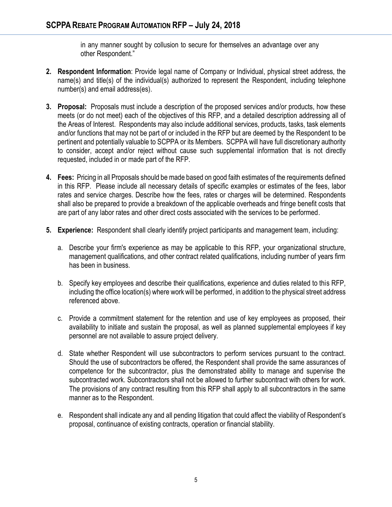in any manner sought by collusion to secure for themselves an advantage over any other Respondent."

- **2. Respondent Information**: Provide legal name of Company or Individual, physical street address, the name(s) and title(s) of the individual(s) authorized to represent the Respondent, including telephone number(s) and email address(es).
- **3. Proposal:** Proposals must include a description of the proposed services and/or products, how these meets (or do not meet) each of the objectives of this RFP, and a detailed description addressing all of the Areas of Interest. Respondents may also include additional services, products, tasks, task elements and/or functions that may not be part of or included in the RFP but are deemed by the Respondent to be pertinent and potentially valuable to SCPPA or its Members. SCPPA will have full discretionary authority to consider, accept and/or reject without cause such supplemental information that is not directly requested, included in or made part of the RFP.
- **4. Fees:** Pricing in all Proposals should be made based on good faith estimates of the requirements defined in this RFP. Please include all necessary details of specific examples or estimates of the fees, labor rates and service charges. Describe how the fees, rates or charges will be determined. Respondents shall also be prepared to provide a breakdown of the applicable overheads and fringe benefit costs that are part of any labor rates and other direct costs associated with the services to be performed.
- **5. Experience:** Respondent shall clearly identify project participants and management team, including:
	- a. Describe your firm's experience as may be applicable to this RFP, your organizational structure, management qualifications, and other contract related qualifications, including number of years firm has been in business.
	- b. Specify key employees and describe their qualifications, experience and duties related to this RFP, including the office location(s) where work will be performed, in addition to the physical street address referenced above.
	- c. Provide a commitment statement for the retention and use of key employees as proposed, their availability to initiate and sustain the proposal, as well as planned supplemental employees if key personnel are not available to assure project delivery.
	- d. State whether Respondent will use subcontractors to perform services pursuant to the contract. Should the use of subcontractors be offered, the Respondent shall provide the same assurances of competence for the subcontractor, plus the demonstrated ability to manage and supervise the subcontracted work. Subcontractors shall not be allowed to further subcontract with others for work. The provisions of any contract resulting from this RFP shall apply to all subcontractors in the same manner as to the Respondent.
	- e. Respondent shall indicate any and all pending litigation that could affect the viability of Respondent's proposal, continuance of existing contracts, operation or financial stability.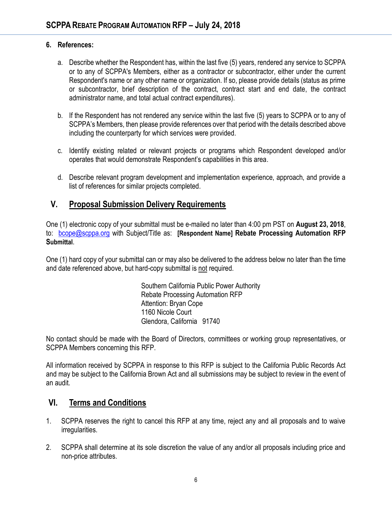#### **6. References:**

- a. Describe whether the Respondent has, within the last five (5) years, rendered any service to SCPPA or to any of SCPPA's Members, either as a contractor or subcontractor, either under the current Respondent's name or any other name or organization. If so, please provide details (status as prime or subcontractor, brief description of the contract, contract start and end date, the contract administrator name, and total actual contract expenditures).
- b. If the Respondent has not rendered any service within the last five (5) years to SCPPA or to any of SCPPA's Members, then please provide references over that period with the details described above including the counterparty for which services were provided.
- c. Identify existing related or relevant projects or programs which Respondent developed and/or operates that would demonstrate Respondent's capabilities in this area.
- d. Describe relevant program development and implementation experience, approach, and provide a list of references for similar projects completed.

### **V. Proposal Submission Delivery Requirements**

One (1) electronic copy of your submittal must be e-mailed no later than 4:00 pm PST on **August 23, 2018**, to: [bcope@scppa.org](mailto:bcope@scppa.org) with Subject/Title as: **[Respondent Name] Rebate Processing Automation RFP Submittal**.

One (1) hard copy of your submittal can or may also be delivered to the address below no later than the time and date referenced above, but hard-copy submittal is not required.

> Southern California Public Power Authority Rebate Processing Automation RFP Attention: Bryan Cope 1160 Nicole Court Glendora, California 91740

No contact should be made with the Board of Directors, committees or working group representatives, or SCPPA Members concerning this RFP.

All information received by SCPPA in response to this RFP is subject to the California Public Records Act and may be subject to the California Brown Act and all submissions may be subject to review in the event of an audit.

## **VI. Terms and Conditions**

- 1. SCPPA reserves the right to cancel this RFP at any time, reject any and all proposals and to waive irregularities.
- 2. SCPPA shall determine at its sole discretion the value of any and/or all proposals including price and non-price attributes.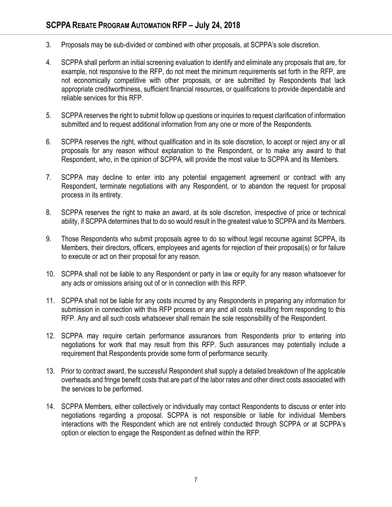- 3. Proposals may be sub-divided or combined with other proposals, at SCPPA's sole discretion.
- 4. SCPPA shall perform an initial screening evaluation to identify and eliminate any proposals that are, for example, not responsive to the RFP, do not meet the minimum requirements set forth in the RFP, are not economically competitive with other proposals, or are submitted by Respondents that lack appropriate creditworthiness, sufficient financial resources, or qualifications to provide dependable and reliable services for this RFP.
- 5. SCPPA reserves the right to submit follow up questions or inquiries to request clarification of information submitted and to request additional information from any one or more of the Respondents.
- 6. SCPPA reserves the right, without qualification and in its sole discretion, to accept or reject any or all proposals for any reason without explanation to the Respondent, or to make any award to that Respondent, who, in the opinion of SCPPA, will provide the most value to SCPPA and its Members.
- 7. SCPPA may decline to enter into any potential engagement agreement or contract with any Respondent, terminate negotiations with any Respondent, or to abandon the request for proposal process in its entirety.
- 8. SCPPA reserves the right to make an award, at its sole discretion, irrespective of price or technical ability, if SCPPA determines that to do so would result in the greatest value to SCPPA and its Members.
- 9. Those Respondents who submit proposals agree to do so without legal recourse against SCPPA, its Members, their directors, officers, employees and agents for rejection of their proposal(s) or for failure to execute or act on their proposal for any reason.
- 10. SCPPA shall not be liable to any Respondent or party in law or equity for any reason whatsoever for any acts or omissions arising out of or in connection with this RFP.
- 11. SCPPA shall not be liable for any costs incurred by any Respondents in preparing any information for submission in connection with this RFP process or any and all costs resulting from responding to this RFP. Any and all such costs whatsoever shall remain the sole responsibility of the Respondent.
- 12. SCPPA may require certain performance assurances from Respondents prior to entering into negotiations for work that may result from this RFP. Such assurances may potentially include a requirement that Respondents provide some form of performance security.
- 13. Prior to contract award, the successful Respondent shall supply a detailed breakdown of the applicable overheads and fringe benefit costs that are part of the labor rates and other direct costs associated with the services to be performed.
- 14. SCPPA Members, either collectively or individually may contact Respondents to discuss or enter into negotiations regarding a proposal. SCPPA is not responsible or liable for individual Members interactions with the Respondent which are not entirely conducted through SCPPA or at SCPPA's option or election to engage the Respondent as defined within the RFP.